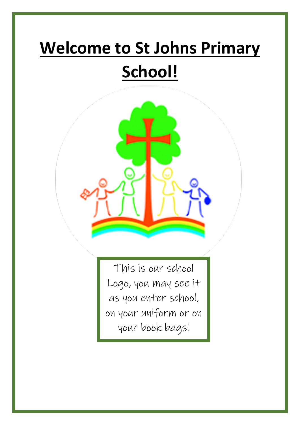## **Welcome to St Johns Primary School!**



This is our school Logo, you may see it as you enter school, on your uniform or on your book bags!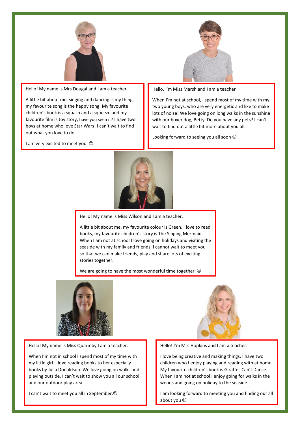

Hello! My name is Mrs Dougal and I am a teacher.

A little bit about me, singing and dancing is my thing, my favourite song is the happy song. My favourite children's book is a squash and a squeeze and my favourite film is toy story, have you seen it? I have two boys at home who love Star Wars! I can't wait to find out what you love to do.

I am very excited to meet you.  $\odot$ 



Hello, I'm Miss Marsh and I am a teacher

When I'm not at school, I spend most of my time with my two young boys, who are very energetic and like to make lots of noise! We love going on long walks in the sunshine with our boxer dog, Betty. Do you have any pets? I can't wait to find out a little bit more about you all.

Looking forward to seeing you all soon  $\odot$ 



Hello! My name is Miss Wilson and I am a teacher.

A little bit about me, my favourite colour is Green. I love to read books, my favourite children's story is The Singing Mermaid. When I am not at school I love going on holidays and visiting the seaside with my family and friends. I cannot wait to meet you so that we can make friends, play and share lots of exciting stories together.

We are going to have the most wonderful time together.  $\odot$ 



Hello! My name is Miss Quarmby I am a teacher.

When I'm not in school I spend most of my time with my little girl. I love reading books to her especially books by Julia Donaldson. We love going on walks and playing outside. I can't wait to show you all our school and our outdoor play area.

I can't wait to meet you all in September.<sup>©</sup>



Hello! I'm Mrs Hopkins and I am a teacher.

I love being creative and making things. I have two children who I enjoy playing and reading with at home. My favourite children's book is Giraffes Can't Dance. When I am not at school I enjoy going for walks in the woods and going on holiday to the seaside.

I am looking forward to meeting you and finding out all about you